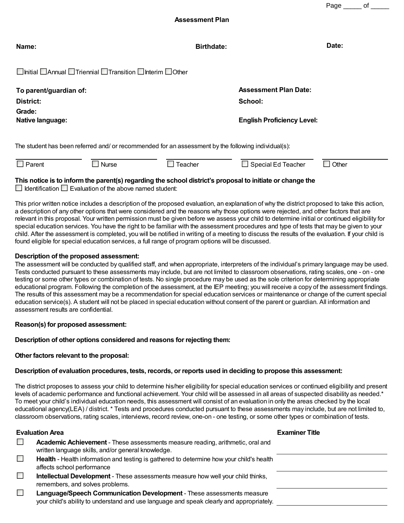Page \_\_\_\_\_\_ of \_\_\_\_

**Assessment Plan**

| Name:                                                                                               | <b>Birthdate:</b>                 | Date: |  |  |  |  |  |
|-----------------------------------------------------------------------------------------------------|-----------------------------------|-------|--|--|--|--|--|
| $\Box$ Initial $\Box$ Annual $\Box$ Triennial $\Box$ Transition $\Box$ Interim $\Box$ Other         |                                   |       |  |  |  |  |  |
| To parent/guardian of:                                                                              | <b>Assessment Plan Date:</b>      |       |  |  |  |  |  |
| <b>District:</b>                                                                                    | School:                           |       |  |  |  |  |  |
| Grade:                                                                                              |                                   |       |  |  |  |  |  |
| Native language:                                                                                    | <b>English Proficiency Level:</b> |       |  |  |  |  |  |
| The student has been referred and/ or recommended for an assessment by the following individual(s): |                                   |       |  |  |  |  |  |

# **This notice is to inform the parent(s) regarding the school district's proposal to initiate or change the**

Parent Dinurse Dinurse Dina Teacher Dinusted Teacher Dinusted Teacher Dinusted Teacher Dinusted Teacher Dinusted

 $\Box$  Identification  $\Box$  Evaluation of the above named student:

This prior written notice includes a description of the proposed evaluation, an explanation of why the district proposed to take this action, a description of any other options that were considered and the reasons why those options were rejected, and other factors that are relevant in this proposal. Your written permission must be given before we assess your child to determine initial or continued eligibility for special education services. You have the right to be familiar with the assessment procedures and type of tests that may be given to your child. After the assessment is completed, you will be notified in writing of a meeting to discuss the results of the evaluation. If your child is found eligible for special education services, a full range of program options will be discussed.

## **Description of the proposed assessment:**

The assessment will be conducted by qualified staff, and when appropriate, interpreters of the individual's primary language may be used. Tests conducted pursuant to these assessments may include, but are not limited to classroom observations, rating scales, one - on - one testing or some other types or combination of tests. No single procedure may be used as the sole criterion for determining appropriate educational program. Following the completion of the assessment, at the IEP meeting; you will receive a copy of the assessment findings. The results of this assessment may be a recommendation for special education services or maintenance or change of the current special education service(s). A student will not be placed in special education without consent of the parent or guardian. All information and assessment results are confidential.

### **Reason(s) for proposed assessment:**

### **Description of other options considered and reasons for rejecting them:**

### **Other factors relevant to the proposal:**

### **Description of evaluation procedures, tests, records, or reports used in deciding to propose this assessment:**

The district proposes to assess your child to determine his/her eligibility for special education services or continued eligibility and present levels of academic performance and functional achievement. Your child will be assessed in all areas of suspected disability as needed.\* To meet your child's individual education needs, this assessment will consist of an evaluation in only the areas checked by the local educational agency(LEA) / district. \* Tests and procedures conducted pursuant to these assessments may include, but are not limited to, classroom observations, rating scales, interviews, record review, one-on - one testing, or some other types or combination of tests.

### **Evaluation Area**

| <b>Examiner Title</b> |  |
|-----------------------|--|
|                       |  |

|    | Academic Achievement - These assessments measure reading, arithmetic, oral and                                                                                    |
|----|-------------------------------------------------------------------------------------------------------------------------------------------------------------------|
|    | written language skills, and/or general knowledge.                                                                                                                |
| L. | Health - Health information and testing is gathered to determine how your child's health                                                                          |
|    | affects school performance                                                                                                                                        |
| L. | <b>Intellectual Development</b> - These assessments measure how well your child thinks,                                                                           |
|    | remembers, and solves problems.                                                                                                                                   |
|    | Language/Speech Communication Development - These assessments measure<br>your child's ability to understand and use language and speak clearly and appropriately. |
|    |                                                                                                                                                                   |